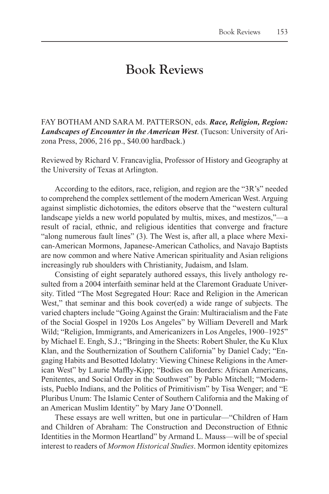## **Book Reviews**

FAY BOTHAM AND SARA M. PATTERSON, eds. *Race, Religion, Region: Landscapes of Encounter in the American West*. (Tucson: University of Arizona Press, 2006, 216 pp., \$40.00 hardback.)

Reviewed by Richard V. Francaviglia, Professor of History and Geography at the University of Texas at Arlington.

According to the editors, race, religion, and region are the "3R's" needed to comprehend the complex settlement of the modern American West. Arguing against simplistic dichotomies, the editors observe that the "western cultural landscape yields a new world populated by multis, mixes, and mestizos,"—a result of racial, ethnic, and religious identities that converge and fracture "along numerous fault lines" (3). The West is, after all, a place where Mexican-American Mormons, Japanese-American Catholics, and Navajo Baptists are now common and where Native American spirituality and Asian religions increasingly rub shoulders with Christianity, Judaism, and Islam.

Consisting of eight separately authored essays, this lively anthology resulted from a 2004 interfaith seminar held at the Claremont Graduate University. Titled "The Most Segregated Hour: Race and Religion in the American West," that seminar and this book cover(ed) a wide range of subjects. The varied chapters include "Going Against the Grain: Multiracialism and the Fate of the Social Gospel in 1920s Los Angeles" by William Deverell and Mark Wild; "Religion, Immigrants, and Americanizers in Los Angeles, 1900–1925" by Michael E. Engh, S.J.; "Bringing in the Sheets: Robert Shuler, the Ku Klux Klan, and the Southernization of Southern California" by Daniel Cady; "Engaging Habits and Besotted Idolatry: Viewing Chinese Religions in the American West" by Laurie Maffly-Kipp; "Bodies on Borders: African Americans, Penitentes, and Social Order in the Southwest" by Pablo Mitchell; "Modernists, Pueblo Indians, and the Politics of Primitivism" by Tisa Wenger; and "E Pluribus Unum: The Islamic Center of Southern California and the Making of an American Muslim Identity" by Mary Jane O'Donnell.

These essays are well written, but one in particular—"Children of Ham and Children of Abraham: The Construction and Deconstruction of Ethnic Identities in the Mormon Heartland" by Armand L. Mauss—will be of special interest to readers of *Mormon Historical Studies*. Mormon identity epitomizes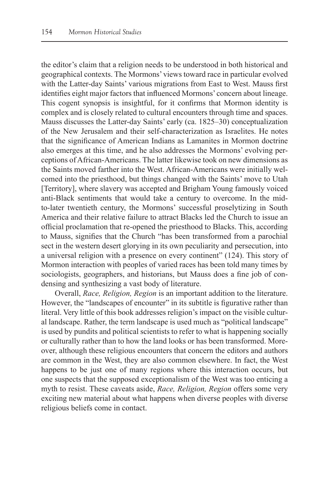the editor's claim that a religion needs to be understood in both historical and geographical contexts. The Mormons' views toward race in particular evolved with the Latter-day Saints' various migrations from East to West. Mauss first identifies eight major factors that influenced Mormons' concern about lineage. This cogent synopsis is insightful, for it confirms that Mormon identity is complex and is closely related to cultural encounters through time and spaces. Mauss discusses the Latter-day Saints' early (ca. 1825–30) conceptualization of the New Jerusalem and their self-characterization as Israelites. He notes that the significance of American Indians as Lamanites in Mormon doctrine also emerges at this time, and he also addresses the Mormons' evolving perceptions of African-Americans. The latter likewise took on new dimensions as the Saints moved farther into the West. African-Americans were initially welcomed into the priesthood, but things changed with the Saints' move to Utah [Territory], where slavery was accepted and Brigham Young famously voiced anti-Black sentiments that would take a century to overcome. In the midto-later twentieth century, the Mormons' successful proselytizing in South America and their relative failure to attract Blacks led the Church to issue an official proclamation that re-opened the priesthood to Blacks. This, according to Mauss, signifies that the Church "has been transformed from a parochial sect in the western desert glorying in its own peculiarity and persecution, into a universal religion with a presence on every continent" (124). This story of Mormon interaction with peoples of varied races has been told many times by sociologists, geographers, and historians, but Mauss does a fine job of condensing and synthesizing a vast body of literature.

Overall, *Race, Religion, Region* is an important addition to the literature. However, the "landscapes of encounter" in its subtitle is figurative rather than literal. Very little of this book addresses religion's impact on the visible cultural landscape. Rather, the term landscape is used much as "political landscape" is used by pundits and political scientists to refer to what is happening socially or culturally rather than to how the land looks or has been transformed. Moreover, although these religious encounters that concern the editors and authors are common in the West, they are also common elsewhere. In fact, the West happens to be just one of many regions where this interaction occurs, but one suspects that the supposed exceptionalism of the West was too enticing a myth to resist. These caveats aside, *Race, Religion, Region* offers some very exciting new material about what happens when diverse peoples with diverse religious beliefs come in contact.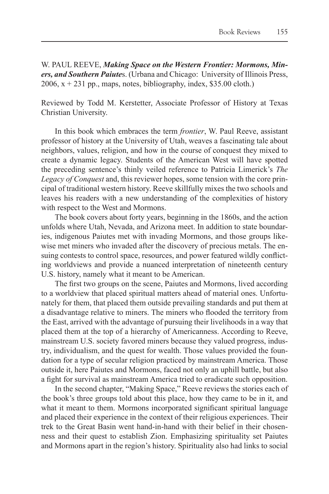W. PAUL REEVE, *Making Space on the Western Frontier: Mormons, Miners, and Southern Paiute*s. (Urbana and Chicago: University of Illinois Press,  $2006$ ,  $x + 231$  pp., maps, notes, bibliography, index, \$35.00 cloth.)

Reviewed by Todd M. Kerstetter, Associate Professor of History at Texas Christian University.

In this book which embraces the term *frontier*, W. Paul Reeve, assistant professor of history at the University of Utah, weaves a fascinating tale about neighbors, values, religion, and how in the course of conquest they mixed to create a dynamic legacy. Students of the American West will have spotted the preceding sentence's thinly veiled reference to Patricia Limerick's *The Legacy of Conquest* and, this reviewer hopes, some tension with the core principal of traditional western history. Reeve skillfully mixes the two schools and leaves his readers with a new understanding of the complexities of history with respect to the West and Mormons.

The book covers about forty years, beginning in the 1860s, and the action unfolds where Utah, Nevada, and Arizona meet. In addition to state boundaries, indigenous Paiutes met with invading Mormons, and those groups likewise met miners who invaded after the discovery of precious metals. The ensuing contests to control space, resources, and power featured wildly conflicting worldviews and provide a nuanced interpretation of nineteenth century U.S. history, namely what it meant to be American.

The first two groups on the scene, Paiutes and Mormons, lived according to a worldview that placed spiritual matters ahead of material ones. Unfortunately for them, that placed them outside prevailing standards and put them at a disadvantage relative to miners. The miners who flooded the territory from the East, arrived with the advantage of pursuing their livelihoods in a way that placed them at the top of a hierarchy of Americanness. According to Reeve, mainstream U.S. society favored miners because they valued progress, industry, individualism, and the quest for wealth. Those values provided the foundation for a type of secular religion practiced by mainstream America. Those outside it, here Paiutes and Mormons, faced not only an uphill battle, but also a fight for survival as mainstream America tried to eradicate such opposition.

In the second chapter, "Making Space," Reeve reviews the stories each of the book's three groups told about this place, how they came to be in it, and what it meant to them. Mormons incorporated significant spiritual language and placed their experience in the context of their religious experiences. Their trek to the Great Basin went hand-in-hand with their belief in their chosenness and their quest to establish Zion. Emphasizing spirituality set Paiutes and Mormons apart in the region's history. Spirituality also had links to social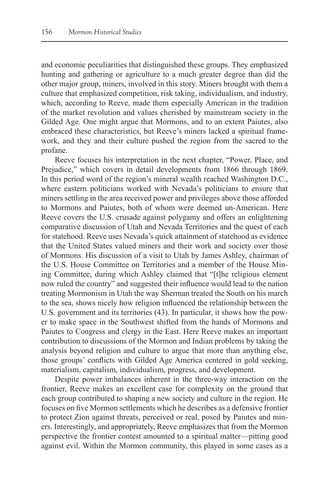and economic peculiarities that distinguished these groups. They emphasized hunting and gathering or agriculture to a much greater degree than did the other major group, miners, involved in this story. Miners brought with them a culture that emphasized competition, risk taking, individualism, and industry, which, according to Reeve, made them especially American in the tradition of the market revolution and values cherished by mainstream society in the Gilded Age. One might argue that Mormons, and to an extent Paiutes, also embraced these characteristics, but Reeve's miners lacked a spiritual framework, and they and their culture pushed the region from the sacred to the profane.

Reeve focuses his interpretation in the next chapter, "Power, Place, and Prejudice," which covers in detail developments from 1866 through 1869. In this period word of the region's mineral wealth reached Washington D.C., where eastern politicians worked with Nevada's politicians to ensure that miners settling in the area received power and privileges above those afforded to Mormons and Paiutes, both of whom were deemed un-American. Here Reeve covers the U.S. crusade against polygamy and offers an enlightening comparative discussion of Utah and Nevada Territories and the quest of each for statehood. Reeve uses Nevada's quick attainment of statehood as evidence that the United States valued miners and their work and society over those of Mormons. His discussion of a visit to Utah by James Ashley, chairman of the U.S. House Committee on Territories and a member of the House Mining Committee, during which Ashley claimed that "[t]he religious element now ruled the country" and suggested their influence would lead to the nation treating Mormonism in Utah the way Sherman treated the South on his march to the sea, shows nicely how religion influenced the relationship between the U.S. government and its territories (43). In particular, it shows how the power to make space in the Southwest shifted from the hands of Mormons and Paiutes to Congress and clergy in the East. Here Reeve makes an important contribution to discussions of the Mormon and Indian problems by taking the analysis beyond religion and culture to argue that more than anything else, those groups' conflicts with Gilded Age America centered in gold seeking, materialism, capitalism, individualism, progress, and development.

Despite power imbalances inherent in the three-way interaction on the frontier, Reeve makes an excellent case for complexity on the ground that each group contributed to shaping a new society and culture in the region. He focuses on five Mormon settlements which he describes as a defensive frontier to protect Zion against threats, perceived or real, posed by Paiutes and miners. Interestingly, and appropriately, Reeve emphasizes that from the Mormon perspective the frontier contest amounted to a spiritual matter—pitting good against evil. Within the Mormon community, this played in some cases as a